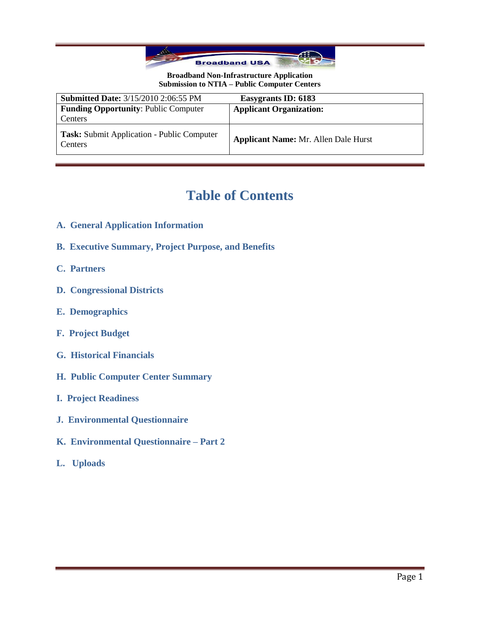

| <b>Submitted Date: 3/15/2010 2:06:55 PM</b>                  | Easygrants ID: 6183                         |
|--------------------------------------------------------------|---------------------------------------------|
| <b>Funding Opportunity: Public Computer</b>                  | <b>Applicant Organization:</b>              |
| Centers                                                      |                                             |
| Task: Submit Application - Public Computer<br><b>Centers</b> | <b>Applicant Name: Mr. Allen Dale Hurst</b> |

# **Table of Contents**

- **A. General Application Information**
- **B. Executive Summary, Project Purpose, and Benefits**
- **C. Partners**
- **D. Congressional Districts**
- **E. Demographics**
- **F. Project Budget**
- **G. Historical Financials**
- **H. Public Computer Center Summary**
- **I. Project Readiness**
- **J. Environmental Questionnaire**
- **K. Environmental Questionnaire – Part 2**
- **L. Uploads**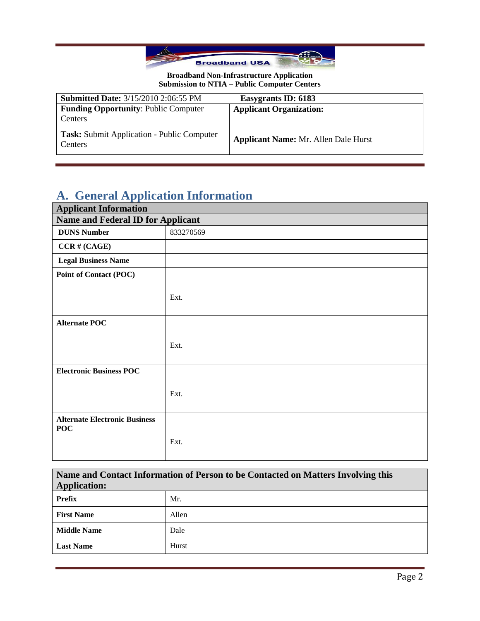

| <b>Submitted Date: 3/15/2010 2:06:55 PM</b>           | Easygrants ID: 6183                         |
|-------------------------------------------------------|---------------------------------------------|
| <b>Funding Opportunity: Public Computer</b>           | <b>Applicant Organization:</b>              |
| Centers                                               |                                             |
| Task: Submit Application - Public Computer<br>Centers | <b>Applicant Name: Mr. Allen Dale Hurst</b> |

# **A. General Application Information**

| <b>Applicant Information</b>                       |           |
|----------------------------------------------------|-----------|
| <b>Name and Federal ID for Applicant</b>           |           |
| <b>DUNS Number</b>                                 | 833270569 |
| $CCR \# (CAGE)$                                    |           |
| <b>Legal Business Name</b>                         |           |
| Point of Contact (POC)                             |           |
|                                                    |           |
|                                                    | Ext.      |
|                                                    |           |
| <b>Alternate POC</b>                               |           |
|                                                    |           |
|                                                    | Ext.      |
|                                                    |           |
| <b>Electronic Business POC</b>                     |           |
|                                                    |           |
|                                                    | Ext.      |
|                                                    |           |
| <b>Alternate Electronic Business</b><br><b>POC</b> |           |
|                                                    | Ext.      |
|                                                    |           |

**Name and Contact Information of Person to be Contacted on Matters Involving this Application:**

| .                  |       |
|--------------------|-------|
| <b>Prefix</b>      | Mr.   |
| <b>First Name</b>  | Allen |
| <b>Middle Name</b> | Dale  |
| <b>Last Name</b>   | Hurst |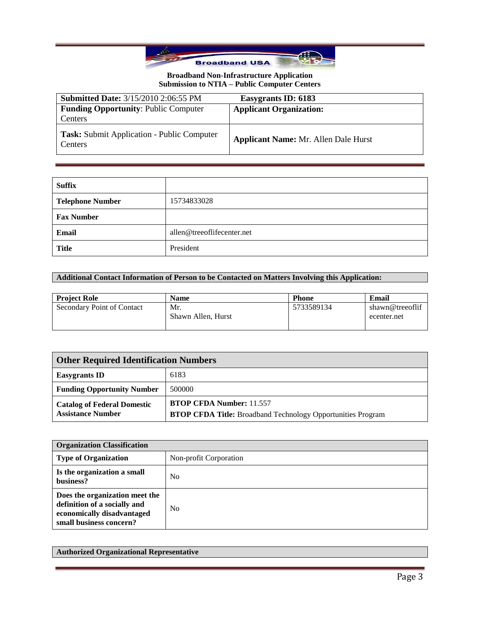

| <b>Submitted Date: 3/15/2010 2:06:55 PM</b>                  | Easygrants ID: 6183                         |
|--------------------------------------------------------------|---------------------------------------------|
| <b>Funding Opportunity: Public Computer</b><br>Centers       | <b>Applicant Organization:</b>              |
| <b>Task:</b> Submit Application - Public Computer<br>Centers | <b>Applicant Name: Mr. Allen Dale Hurst</b> |

| <b>Suffix</b>           |                            |
|-------------------------|----------------------------|
| <b>Telephone Number</b> | 15734833028                |
| <b>Fax Number</b>       |                            |
| Email                   | allen@treeoflifecenter.net |
| <b>Title</b>            | President                  |

# **Additional Contact Information of Person to be Contacted on Matters Involving this Application:**

| <b>Project Role</b>        | <b>Name</b>               | <b>Phone</b> | Email                          |
|----------------------------|---------------------------|--------------|--------------------------------|
| Secondary Point of Contact | Mr.<br>Shawn Allen, Hurst | 5733589134   | shawn@treeoflif<br>ecenter.net |

| <b>Other Required Identification Numbers</b>                   |                                                                                                       |
|----------------------------------------------------------------|-------------------------------------------------------------------------------------------------------|
| <b>Easygrants ID</b>                                           | 6183                                                                                                  |
| <b>Funding Opportunity Number</b>                              | 500000                                                                                                |
| <b>Catalog of Federal Domestic</b><br><b>Assistance Number</b> | <b>BTOP CFDA Number: 11.557</b><br><b>BTOP CFDA Title:</b> Broadband Technology Opportunities Program |

| <b>Organization Classification</b>                                                                                      |                        |
|-------------------------------------------------------------------------------------------------------------------------|------------------------|
| <b>Type of Organization</b>                                                                                             | Non-profit Corporation |
| Is the organization a small<br>business?                                                                                | N <sub>0</sub>         |
| Does the organization meet the<br>definition of a socially and<br>economically disadvantaged<br>small business concern? | N <sub>0</sub>         |

### **Authorized Organizational Representative**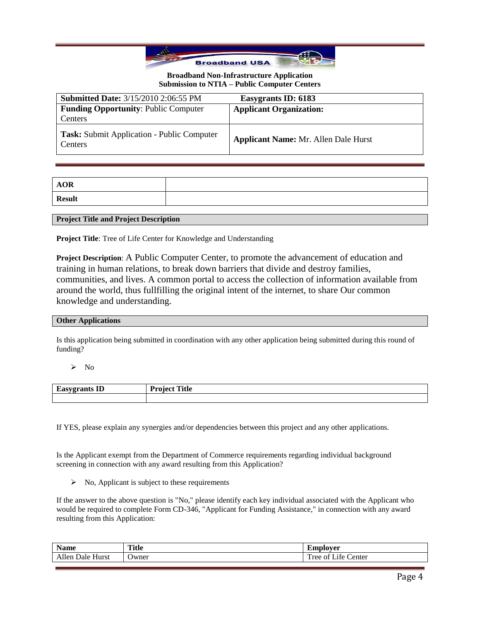

| <b>Submitted Date: 3/15/2010 2:06:55 PM</b>                  | Easygrants ID: 6183                         |
|--------------------------------------------------------------|---------------------------------------------|
| <b>Funding Opportunity: Public Computer</b><br>Centers       | <b>Applicant Organization:</b>              |
|                                                              |                                             |
| Task: Submit Application - Public Computer<br><b>Centers</b> | <b>Applicant Name: Mr. Allen Dale Hurst</b> |

| $\bf AOR$     |  |
|---------------|--|
| <b>Result</b> |  |

**Project Title and Project Description**

**Project Title**: Tree of Life Center for Knowledge and Understanding

**Project Description**: A Public Computer Center, to promote the advancement of education and training in human relations, to break down barriers that divide and destroy families, communities, and lives. A common portal to access the collection of information available from around the world, thus fullfilling the original intent of the internet, to share Our common knowledge and understanding.

#### **Other Applications**

Is this application being submitted in coordination with any other application being submitted during this round of funding?

 $\triangleright$  No

| $\sim$<br>Lido,<br>еганіз пл<br>- | <b>Title</b><br>$\mathbf{D}$ <i>n</i> <sub>200</sub> <sup><math>\pm</math></sup><br>$\sim$ $\sim$ |
|-----------------------------------|---------------------------------------------------------------------------------------------------|
|                                   |                                                                                                   |

If YES, please explain any synergies and/or dependencies between this project and any other applications.

Is the Applicant exempt from the Department of Commerce requirements regarding individual background screening in connection with any award resulting from this Application?

 $\triangleright$  No, Applicant is subject to these requirements

If the answer to the above question is "No," please identify each key individual associated with the Applicant who would be required to complete Form CD-346, "Applicant for Funding Assistance," in connection with any award resulting from this Application:

| Name                                            | <b>Title</b> | <b>AVIOR</b><br>/ci<br>யய                                                             |
|-------------------------------------------------|--------------|---------------------------------------------------------------------------------------|
| $ -$<br>11<br>Allt<br>Hurst<br>$\sim$<br>. 1910 | Jwner        | $\sim$ $\sim$<br>$\overline{\phantom{a}}$<br>$\sim$<br>enter<br>1 ree<br>۰ ۲ ۵<br>-01 |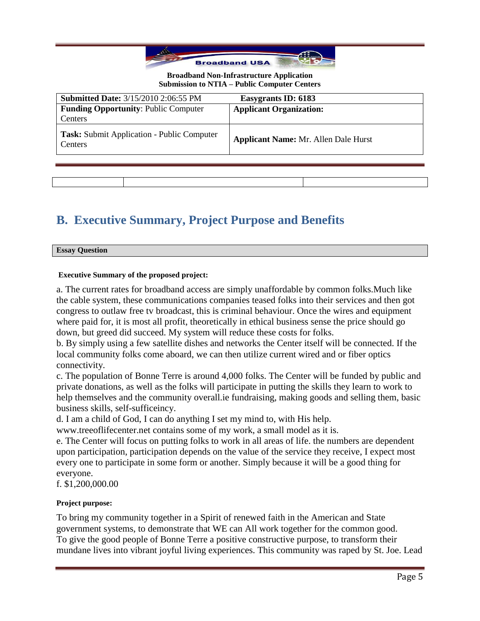

| <b>Submitted Date: 3/15/2010 2:06:55 PM</b>           | Easygrants ID: 6183                         |
|-------------------------------------------------------|---------------------------------------------|
| <b>Funding Opportunity: Public Computer</b>           | <b>Applicant Organization:</b>              |
| Centers                                               |                                             |
| Task: Submit Application - Public Computer<br>Centers | <b>Applicant Name: Mr. Allen Dale Hurst</b> |
|                                                       |                                             |
|                                                       |                                             |

# **B. Executive Summary, Project Purpose and Benefits**

| <b>Essay Question</b> |  |
|-----------------------|--|

## **Executive Summary of the proposed project:**

a. The current rates for broadband access are simply unaffordable by common folks.Much like the cable system, these communications companies teased folks into their services and then got congress to outlaw free tv broadcast, this is criminal behaviour. Once the wires and equipment where paid for, it is most all profit, theoretically in ethical business sense the price should go down, but greed did succeed. My system will reduce these costs for folks.

b. By simply using a few satellite dishes and networks the Center itself will be connected. If the local community folks come aboard, we can then utilize current wired and or fiber optics connectivity.

c. The population of Bonne Terre is around 4,000 folks. The Center will be funded by public and private donations, as well as the folks will participate in putting the skills they learn to work to help themselves and the community overall.ie fundraising, making goods and selling them, basic business skills, self-sufficeincy.

d. I am a child of God, I can do anything I set my mind to, with His help.

www.treeoflifecenter.net contains some of my work, a small model as it is.

e. The Center will focus on putting folks to work in all areas of life. the numbers are dependent upon participation, participation depends on the value of the service they receive, I expect most every one to participate in some form or another. Simply because it will be a good thing for everyone.

f. \$1,200,000.00

## **Project purpose:**

To bring my community together in a Spirit of renewed faith in the American and State government systems, to demonstrate that WE can All work together for the common good. To give the good people of Bonne Terre a positive constructive purpose, to transform their mundane lives into vibrant joyful living experiences. This community was raped by St. Joe. Lead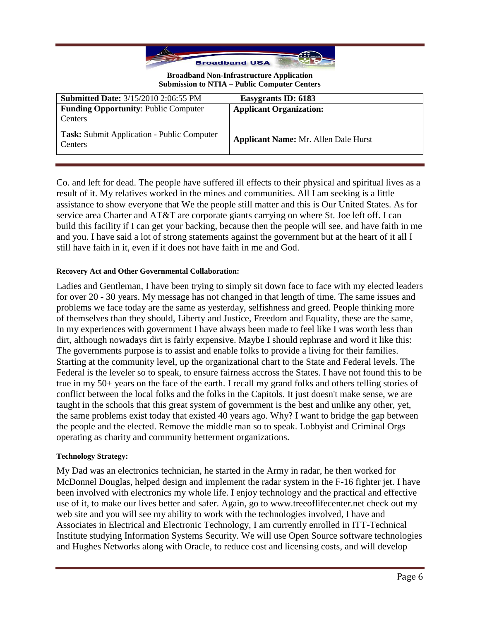

| <b>Submitted Date: 3/15/2010 2:06:55 PM</b>                  | Easygrants ID: 6183                         |
|--------------------------------------------------------------|---------------------------------------------|
| <b>Funding Opportunity: Public Computer</b>                  | <b>Applicant Organization:</b>              |
| Centers                                                      |                                             |
| <b>Task:</b> Submit Application - Public Computer<br>Centers | <b>Applicant Name: Mr. Allen Dale Hurst</b> |

Co. and left for dead. The people have suffered ill effects to their physical and spiritual lives as a result of it. My relatives worked in the mines and communities. All I am seeking is a little assistance to show everyone that We the people still matter and this is Our United States. As for service area Charter and AT&T are corporate giants carrying on where St. Joe left off. I can build this facility if I can get your backing, because then the people will see, and have faith in me and you. I have said a lot of strong statements against the government but at the heart of it all I still have faith in it, even if it does not have faith in me and God.

## **Recovery Act and Other Governmental Collaboration:**

Ladies and Gentleman, I have been trying to simply sit down face to face with my elected leaders for over 20 - 30 years. My message has not changed in that length of time. The same issues and problems we face today are the same as yesterday, selfishness and greed. People thinking more of themselves than they should, Liberty and Justice, Freedom and Equality, these are the same, In my experiences with government I have always been made to feel like I was worth less than dirt, although nowadays dirt is fairly expensive. Maybe I should rephrase and word it like this: The governments purpose is to assist and enable folks to provide a living for their families. Starting at the community level, up the organizational chart to the State and Federal levels. The Federal is the leveler so to speak, to ensure fairness accross the States. I have not found this to be true in my 50+ years on the face of the earth. I recall my grand folks and others telling stories of conflict between the local folks and the folks in the Capitols. It just doesn't make sense, we are taught in the schools that this great system of government is the best and unlike any other, yet, the same problems exist today that existed 40 years ago. Why? I want to bridge the gap between the people and the elected. Remove the middle man so to speak. Lobbyist and Criminal Orgs operating as charity and community betterment organizations.

### **Technology Strategy:**

My Dad was an electronics technician, he started in the Army in radar, he then worked for McDonnel Douglas, helped design and implement the radar system in the F-16 fighter jet. I have been involved with electronics my whole life. I enjoy technology and the practical and effective use of it, to make our lives better and safer. Again, go to www.treeoflifecenter.net check out my web site and you will see my ability to work with the technologies involved, I have and Associates in Electrical and Electronic Technology, I am currently enrolled in ITT-Technical Institute studying Information Systems Security. We will use Open Source software technologies and Hughes Networks along with Oracle, to reduce cost and licensing costs, and will develop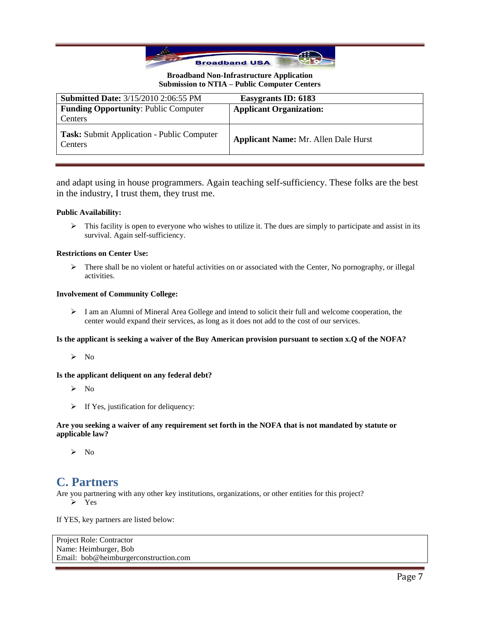

| <b>Submitted Date: 3/15/2010 2:06:55 PM</b>           | Easygrants ID: 6183                         |
|-------------------------------------------------------|---------------------------------------------|
| <b>Funding Opportunity: Public Computer</b>           | <b>Applicant Organization:</b>              |
| Centers                                               |                                             |
| Task: Submit Application - Public Computer<br>Centers | <b>Applicant Name: Mr. Allen Dale Hurst</b> |

and adapt using in house programmers. Again teaching self-sufficiency. These folks are the best in the industry, I trust them, they trust me.

#### **Public Availability:**

 $\triangleright$  This facility is open to everyone who wishes to utilize it. The dues are simply to participate and assist in its survival. Again self-sufficiency.

#### **Restrictions on Center Use:**

 $\triangleright$  There shall be no violent or hateful activities on or associated with the Center, No pornography, or illegal activities.

#### **Involvement of Community College:**

 $\triangleright$  I am an Alumni of Mineral Area Gollege and intend to solicit their full and welcome cooperation, the center would expand their services, as long as it does not add to the cost of our services.

#### **Is the applicant is seeking a waiver of the Buy American provision pursuant to section x.Q of the NOFA?**

 $\triangleright$  No

#### **Is the applicant deliquent on any federal debt?**

- $\triangleright$  No
- $\triangleright$  If Yes, justification for deliquency:

#### **Are you seeking a waiver of any requirement set forth in the NOFA that is not mandated by statute or applicable law?**

 $\triangleright$  No

# **C. Partners**

Are you partnering with any other key institutions, organizations, or other entities for this project?

 $\triangleright$  Yes

If YES, key partners are listed below:

```
Project Role: Contractor
Name: Heimburger, Bob
Email: bob@heimburgerconstruction.com
```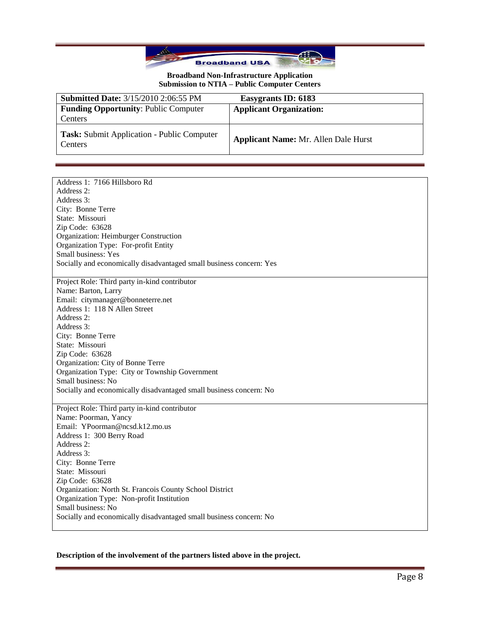

| <b>Submitted Date: 3/15/2010 2:06:55 PM</b>                  | Easygrants ID: 6183                         |
|--------------------------------------------------------------|---------------------------------------------|
| <b>Funding Opportunity: Public Computer</b>                  | <b>Applicant Organization:</b>              |
| Centers                                                      |                                             |
| Task: Submit Application - Public Computer<br><b>Centers</b> | <b>Applicant Name: Mr. Allen Dale Hurst</b> |

| Address 1: 7166 Hillsboro Rd                                        |
|---------------------------------------------------------------------|
| Address 2:                                                          |
| Address 3:                                                          |
| City: Bonne Terre                                                   |
| State: Missouri                                                     |
| Zip Code: 63628                                                     |
| Organization: Heimburger Construction                               |
| Organization Type: For-profit Entity                                |
| Small business: Yes                                                 |
| Socially and economically disadvantaged small business concern: Yes |
|                                                                     |
| Project Role: Third party in-kind contributor                       |
| Name: Barton, Larry                                                 |
| Email: citymanager@bonneterre.net                                   |
| Address 1: 118 N Allen Street                                       |
| Address 2:                                                          |
| Address 3:                                                          |
| City: Bonne Terre                                                   |
| State: Missouri                                                     |
| Zip Code: 63628                                                     |
| Organization: City of Bonne Terre                                   |
| Organization Type: City or Township Government                      |
| Small business: No                                                  |
| Socially and economically disadvantaged small business concern: No  |
|                                                                     |
| Project Role: Third party in-kind contributor                       |
| Name: Poorman, Yancy                                                |
| Email: YPoorman@ncsd.k12.mo.us                                      |
| Address 1: 300 Berry Road                                           |
| Address 2:                                                          |
| Address 3:                                                          |
|                                                                     |
| City: Bonne Terre                                                   |
| State: Missouri                                                     |
| Zip Code: 63628                                                     |
| Organization: North St. Francois County School District             |
| Organization Type: Non-profit Institution                           |
| Small business: No                                                  |
| Socially and economically disadvantaged small business concern: No  |
|                                                                     |

## **Description of the involvement of the partners listed above in the project.**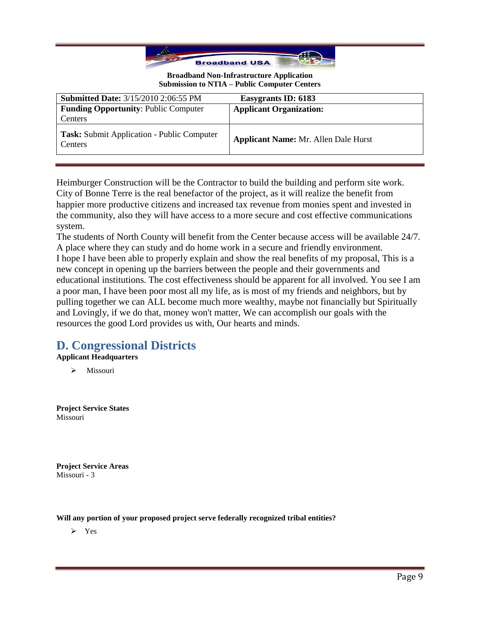

| <b>Submitted Date: 3/15/2010 2:06:55 PM</b>           | Easygrants ID: 6183                         |
|-------------------------------------------------------|---------------------------------------------|
| <b>Funding Opportunity: Public Computer</b>           | <b>Applicant Organization:</b>              |
| Centers                                               |                                             |
| Task: Submit Application - Public Computer<br>Centers | <b>Applicant Name: Mr. Allen Dale Hurst</b> |

Heimburger Construction will be the Contractor to build the building and perform site work. City of Bonne Terre is the real benefactor of the project, as it will realize the benefit from happier more productive citizens and increased tax revenue from monies spent and invested in the community, also they will have access to a more secure and cost effective communications system.

The students of North County will benefit from the Center because access will be available 24/7. A place where they can study and do home work in a secure and friendly environment. I hope I have been able to properly explain and show the real benefits of my proposal, This is a new concept in opening up the barriers between the people and their governments and educational institutions. The cost effectiveness should be apparent for all involved. You see I am a poor man, I have been poor most all my life, as is most of my friends and neighbors, but by pulling together we can ALL become much more wealthy, maybe not financially but Spiritually and Lovingly, if we do that, money won't matter, We can accomplish our goals with the resources the good Lord provides us with, Our hearts and minds.

# **D. Congressional Districts**

**Applicant Headquarters**

 $\triangleright$  Missouri

**Project Service States** Missouri

**Project Service Areas** Missouri - 3

**Will any portion of your proposed project serve federally recognized tribal entities?**

Yes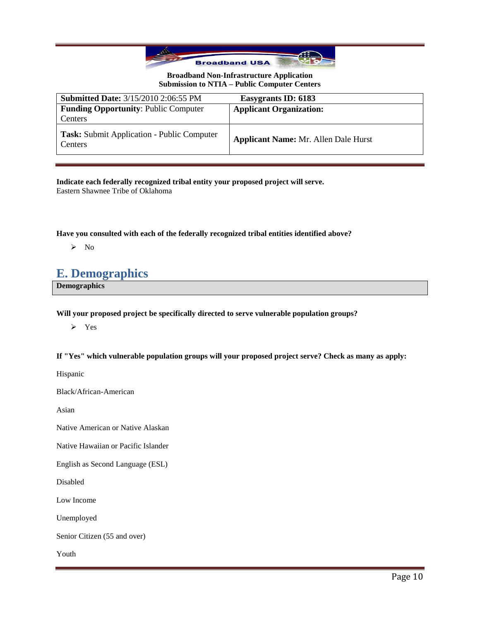

| <b>Submitted Date: 3/15/2010 2:06:55 PM</b>           | Easygrants ID: 6183                         |
|-------------------------------------------------------|---------------------------------------------|
| <b>Funding Opportunity: Public Computer</b>           | <b>Applicant Organization:</b>              |
| Centers                                               |                                             |
| Task: Submit Application - Public Computer<br>Centers | <b>Applicant Name: Mr. Allen Dale Hurst</b> |

**Indicate each federally recognized tribal entity your proposed project will serve.** Eastern Shawnee Tribe of Oklahoma

**Have you consulted with each of the federally recognized tribal entities identified above?**

 $\triangleright$  No

# **E. Demographics**

**Demographics**

**Will your proposed project be specifically directed to serve vulnerable population groups?**

Yes

**If "Yes" which vulnerable population groups will your proposed project serve? Check as many as apply:**

Hispanic

Black/African-American

Asian

Native American or Native Alaskan

Native Hawaiian or Pacific Islander

English as Second Language (ESL)

Disabled

Low Income

Unemployed

Senior Citizen (55 and over)

Youth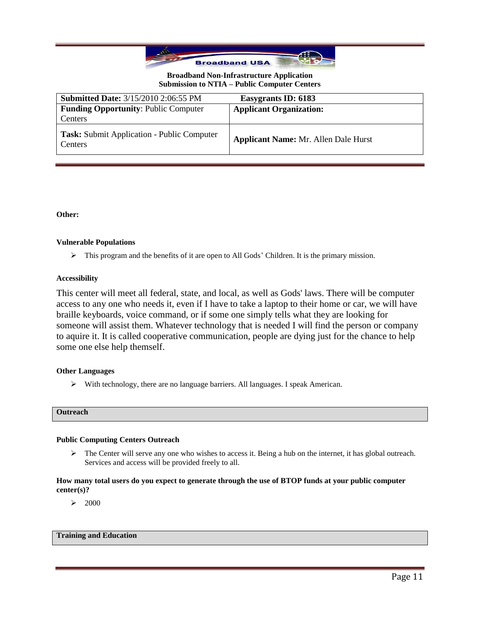

| <b>Submitted Date: 3/15/2010 2:06:55 PM</b>                  | Easygrants ID: 6183                         |
|--------------------------------------------------------------|---------------------------------------------|
| <b>Funding Opportunity: Public Computer</b>                  | <b>Applicant Organization:</b>              |
| Centers                                                      |                                             |
| <b>Task:</b> Submit Application - Public Computer<br>Centers | <b>Applicant Name: Mr. Allen Dale Hurst</b> |

**Other:**

#### **Vulnerable Populations**

 $\triangleright$  This program and the benefits of it are open to All Gods' Children. It is the primary mission.

#### **Accessibility**

This center will meet all federal, state, and local, as well as Gods' laws. There will be computer access to any one who needs it, even if I have to take a laptop to their home or car, we will have braille keyboards, voice command, or if some one simply tells what they are looking for someone will assist them. Whatever technology that is needed I will find the person or company to aquire it. It is called cooperative communication, people are dying just for the chance to help some one else help themself.

#### **Other Languages**

With technology, there are no language barriers. All languages. I speak American.

#### **Outreach**

#### **Public Computing Centers Outreach**

 $\triangleright$  The Center will serve any one who wishes to access it. Being a hub on the internet, it has global outreach. Services and access will be provided freely to all.

#### **How many total users do you expect to generate through the use of BTOP funds at your public computer center(s)?**

 $\geq 2000$ 

#### **Training and Education**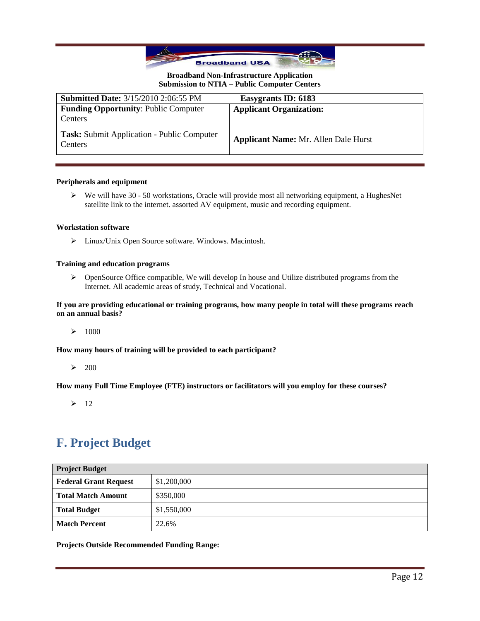

| <b>Submitted Date: 3/15/2010 2:06:55 PM</b>                         | Easygrants ID: 6183                         |
|---------------------------------------------------------------------|---------------------------------------------|
| <b>Funding Opportunity: Public Computer</b>                         | <b>Applicant Organization:</b>              |
| Centers                                                             |                                             |
| <b>Task:</b> Submit Application - Public Computer<br><b>Centers</b> | <b>Applicant Name: Mr. Allen Dale Hurst</b> |

#### **Peripherals and equipment**

 We will have 30 - 50 workstations, Oracle will provide most all networking equipment, a HughesNet satellite link to the internet. assorted AV equipment, music and recording equipment.

#### **Workstation software**

Linux/Unix Open Source software. Windows. Macintosh.

#### **Training and education programs**

 OpenSource Office compatible, We will develop In house and Utilize distributed programs from the Internet. All academic areas of study, Technical and Vocational.

**If you are providing educational or training programs, how many people in total will these programs reach on an annual basis?**

 $\geq 1000$ 

**How many hours of training will be provided to each participant?**

 $\geq 200$ 

**How many Full Time Employee (FTE) instructors or facilitators will you employ for these courses?**

 $\geq$  12

# **F. Project Budget**

| <b>Project Budget</b>        |             |
|------------------------------|-------------|
| <b>Federal Grant Request</b> | \$1,200,000 |
| <b>Total Match Amount</b>    | \$350,000   |
| <b>Total Budget</b>          | \$1,550,000 |
| <b>Match Percent</b>         | 22.6%       |

**Projects Outside Recommended Funding Range:**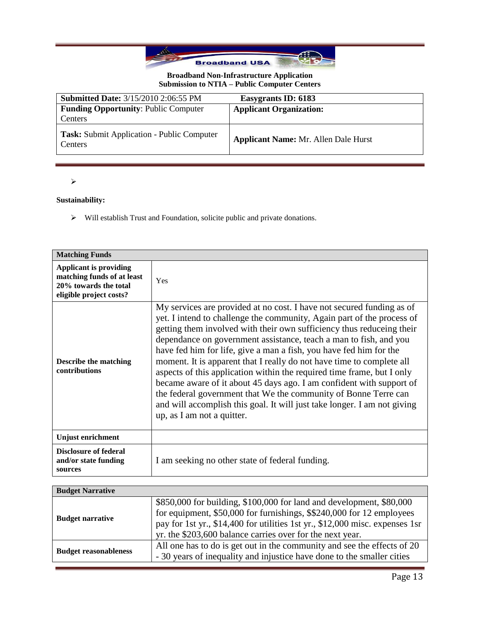

| <b>Submitted Date: 3/15/2010 2:06:55 PM</b>                  | Easygrants ID: 6183                         |
|--------------------------------------------------------------|---------------------------------------------|
| <b>Funding Opportunity: Public Computer</b>                  | <b>Applicant Organization:</b>              |
| Centers                                                      |                                             |
| Task: Submit Application - Public Computer<br><b>Centers</b> | <b>Applicant Name: Mr. Allen Dale Hurst</b> |

 $\blacktriangleright$ 

## **Sustainability:**

Will establish Trust and Foundation, solicite public and private donations.

| <b>Matching Funds</b>                                                                                           |                                                                                                                                                                                                                                                                                                                                                                                                                                                                                                                                                                                                                                                                                                                                                                             |
|-----------------------------------------------------------------------------------------------------------------|-----------------------------------------------------------------------------------------------------------------------------------------------------------------------------------------------------------------------------------------------------------------------------------------------------------------------------------------------------------------------------------------------------------------------------------------------------------------------------------------------------------------------------------------------------------------------------------------------------------------------------------------------------------------------------------------------------------------------------------------------------------------------------|
| <b>Applicant is providing</b><br>matching funds of at least<br>20% towards the total<br>eligible project costs? | Yes                                                                                                                                                                                                                                                                                                                                                                                                                                                                                                                                                                                                                                                                                                                                                                         |
| <b>Describe the matching</b><br>contributions                                                                   | My services are provided at no cost. I have not secured funding as of<br>yet. I intend to challenge the community, Again part of the process of<br>getting them involved with their own sufficiency thus reduceing their<br>dependance on government assistance, teach a man to fish, and you<br>have fed him for life, give a man a fish, you have fed him for the<br>moment. It is apparent that I really do not have time to complete all<br>aspects of this application within the required time frame, but I only<br>became aware of it about 45 days ago. I am confident with support of<br>the federal government that We the community of Bonne Terre can<br>and will accomplish this goal. It will just take longer. I am not giving<br>up, as I am not a quitter. |
| Unjust enrichment                                                                                               |                                                                                                                                                                                                                                                                                                                                                                                                                                                                                                                                                                                                                                                                                                                                                                             |
| <b>Disclosure of federal</b><br>and/or state funding<br>sources                                                 | I am seeking no other state of federal funding.                                                                                                                                                                                                                                                                                                                                                                                                                                                                                                                                                                                                                                                                                                                             |

| <b>Budget Narrative</b>      |                                                                                                                                                                                                                                                                                            |
|------------------------------|--------------------------------------------------------------------------------------------------------------------------------------------------------------------------------------------------------------------------------------------------------------------------------------------|
| <b>Budget narrative</b>      | \$850,000 for building, \$100,000 for land and development, \$80,000<br>for equipment, \$50,000 for furnishings, \$\$240,000 for 12 employees<br>pay for 1st yr., \$14,400 for utilities 1st yr., \$12,000 misc. expenses 1sr<br>yr. the \$203,600 balance carries over for the next year. |
| <b>Budget reasonableness</b> | All one has to do is get out in the community and see the effects of 20<br>- 30 years of inequality and injustice have done to the smaller cities                                                                                                                                          |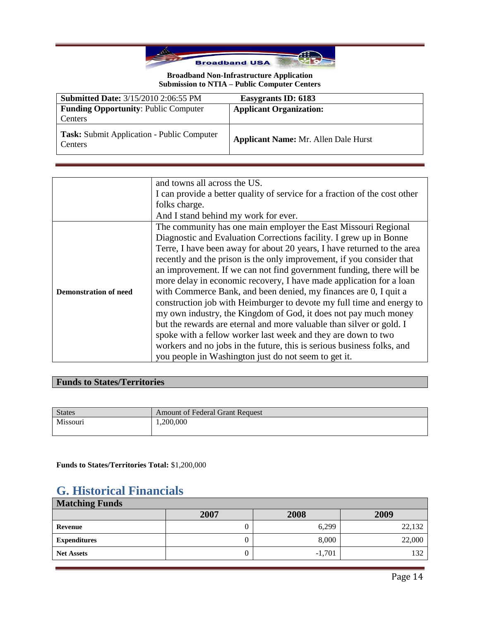

| <b>Submitted Date: 3/15/2010 2:06:55 PM</b>                         | Easygrants ID: 6183                         |
|---------------------------------------------------------------------|---------------------------------------------|
| <b>Funding Opportunity: Public Computer</b><br>Centers              | <b>Applicant Organization:</b>              |
| <b>Task:</b> Submit Application - Public Computer<br><b>Centers</b> | <b>Applicant Name: Mr. Allen Dale Hurst</b> |

|                              | and towns all across the US.                                               |  |
|------------------------------|----------------------------------------------------------------------------|--|
|                              | I can provide a better quality of service for a fraction of the cost other |  |
|                              | folks charge.                                                              |  |
|                              | And I stand behind my work for ever.                                       |  |
|                              | The community has one main employer the East Missouri Regional             |  |
|                              | Diagnostic and Evaluation Corrections facility. I grew up in Bonne         |  |
|                              | Terre, I have been away for about 20 years, I have returned to the area    |  |
|                              | recently and the prison is the only improvement, if you consider that      |  |
|                              | an improvement. If we can not find government funding, there will be       |  |
|                              | more delay in economic recovery, I have made application for a loan        |  |
| <b>Demonstration of need</b> | with Commerce Bank, and been denied, my finances are 0, I quit a           |  |
|                              | construction job with Heimburger to devote my full time and energy to      |  |
|                              | my own industry, the Kingdom of God, it does not pay much money            |  |
|                              | but the rewards are eternal and more valuable than silver or gold. I       |  |
|                              | spoke with a fellow worker last week and they are down to two              |  |
|                              | workers and no jobs in the future, this is serious business folks, and     |  |
|                              | you people in Washington just do not seem to get it.                       |  |

# **Funds to States/Territories**

| <b>Amount of Federal Grant Request</b> |
|----------------------------------------|
|                                        |
|                                        |

**Funds to States/Territories Total:** \$1,200,000

# **G. Historical Financials**

| <b>Matching Funds</b> |      |          |        |
|-----------------------|------|----------|--------|
|                       | 2007 | 2008     | 2009   |
| Revenue               |      | 6,299    | 22,132 |
| <b>Expenditures</b>   |      | 8,000    | 22,000 |
| <b>Net Assets</b>     |      | $-1,701$ | 137    |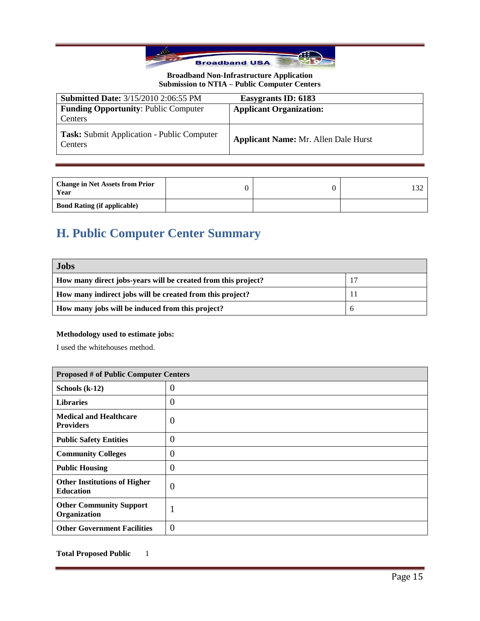

| <b>Submitted Date: 3/15/2010 2:06:55 PM</b>                  | Easygrants ID: 6183                         |
|--------------------------------------------------------------|---------------------------------------------|
| <b>Funding Opportunity: Public Computer</b>                  | <b>Applicant Organization:</b>              |
| Centers                                                      |                                             |
| <b>Task:</b> Submit Application - Public Computer<br>Centers | <b>Applicant Name: Mr. Allen Dale Hurst</b> |

| <b>Change in Net Assets from Prior</b><br>Year |  |  |
|------------------------------------------------|--|--|
| <b>Bond Rating (if applicable)</b>             |  |  |

# **H. Public Computer Center Summary**

| <b>Jobs</b>                                                   |  |
|---------------------------------------------------------------|--|
| How many direct jobs-years will be created from this project? |  |
| How many indirect jobs will be created from this project?     |  |
| How many jobs will be induced from this project?              |  |

## **Methodology used to estimate jobs:**

I used the whitehouses method.

| <b>Proposed # of Public Computer Centers</b>            |                |  |
|---------------------------------------------------------|----------------|--|
| Schools $(k-12)$                                        | U              |  |
| <b>Libraries</b>                                        | O              |  |
| <b>Medical and Healthcare</b><br><b>Providers</b>       | $\theta$       |  |
| <b>Public Safety Entities</b>                           | $\overline{0}$ |  |
| <b>Community Colleges</b>                               | $\theta$       |  |
| <b>Public Housing</b>                                   | O              |  |
| <b>Other Institutions of Higher</b><br><b>Education</b> | $\theta$       |  |
| <b>Other Community Support</b><br>Organization          | п              |  |
| <b>Other Government Facilities</b>                      | $\theta$       |  |

**Total Proposed Public** 1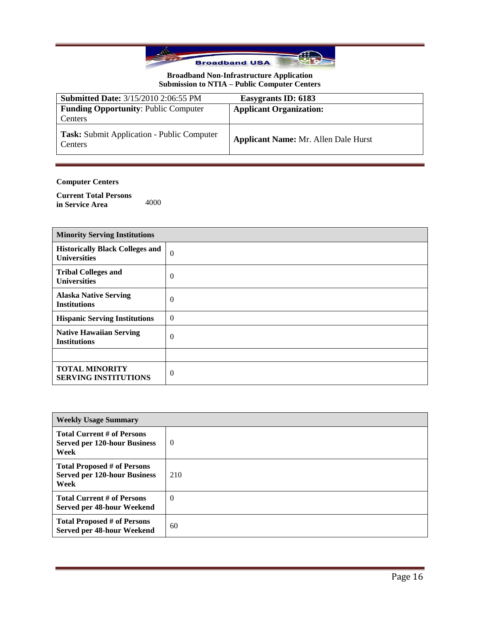

| <b>Submitted Date: 3/15/2010 2:06:55 PM</b>                         | Easygrants ID: 6183                         |
|---------------------------------------------------------------------|---------------------------------------------|
| <b>Funding Opportunity: Public Computer</b>                         | <b>Applicant Organization:</b>              |
| Centers                                                             |                                             |
| <b>Task:</b> Submit Application - Public Computer<br><b>Centers</b> | <b>Applicant Name: Mr. Allen Dale Hurst</b> |

## **Computer Centers**

**Current Total Persons**  in Service Area 4000

| <b>Minority Serving Institutions</b>                          |                |
|---------------------------------------------------------------|----------------|
| <b>Historically Black Colleges and</b><br><b>Universities</b> | $\Omega$       |
| <b>Tribal Colleges and</b><br><b>Universities</b>             | $\overline{0}$ |
| <b>Alaska Native Serving</b><br><b>Institutions</b>           | $\theta$       |
| <b>Hispanic Serving Institutions</b>                          | $\Omega$       |
| <b>Native Hawaiian Serving</b><br><b>Institutions</b>         | $\overline{0}$ |
|                                                               |                |
| <b>TOTAL MINORITY</b><br><b>SERVING INSTITUTIONS</b>          | $\overline{0}$ |

| <b>Weekly Usage Summary</b>                                                       |          |  |
|-----------------------------------------------------------------------------------|----------|--|
| <b>Total Current # of Persons</b><br><b>Served per 120-hour Business</b><br>Week  | $\Omega$ |  |
| <b>Total Proposed # of Persons</b><br><b>Served per 120-hour Business</b><br>Week | 210      |  |
| <b>Total Current # of Persons</b><br>Served per 48-hour Weekend                   | $\Omega$ |  |
| <b>Total Proposed # of Persons</b><br>Served per 48-hour Weekend                  | 60       |  |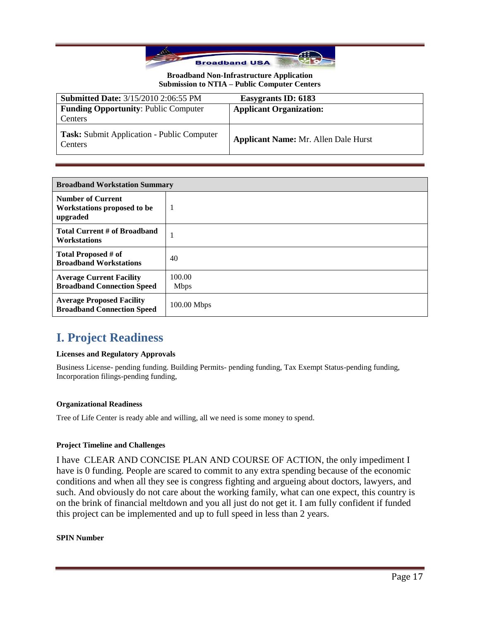

| <b>Submitted Date: 3/15/2010 2:06:55 PM</b>           | Easygrants ID: 6183                         |
|-------------------------------------------------------|---------------------------------------------|
| <b>Funding Opportunity: Public Computer</b>           | <b>Applicant Organization:</b>              |
| Centers                                               |                                             |
| Task: Submit Application - Public Computer<br>Centers | <b>Applicant Name: Mr. Allen Dale Hurst</b> |

| <b>Broadband Workstation Summary</b>                                  |                       |
|-----------------------------------------------------------------------|-----------------------|
| <b>Number of Current</b><br>Workstations proposed to be<br>upgraded   | 1                     |
| <b>Total Current # of Broadband</b><br><b>Workstations</b>            |                       |
| Total Proposed # of<br><b>Broadband Workstations</b>                  | 40                    |
| <b>Average Current Facility</b><br><b>Broadband Connection Speed</b>  | 100.00<br><b>Mbps</b> |
| <b>Average Proposed Facility</b><br><b>Broadband Connection Speed</b> | $100.00$ Mbps         |

# **I. Project Readiness**

### **Licenses and Regulatory Approvals**

Business License- pending funding. Building Permits- pending funding, Tax Exempt Status-pending funding, Incorporation filings-pending funding,

### **Organizational Readiness**

Tree of Life Center is ready able and willing, all we need is some money to spend.

### **Project Timeline and Challenges**

I have CLEAR AND CONCISE PLAN AND COURSE OF ACTION, the only impediment I have is 0 funding. People are scared to commit to any extra spending because of the economic conditions and when all they see is congress fighting and argueing about doctors, lawyers, and such. And obviously do not care about the working family, what can one expect, this country is on the brink of financial meltdown and you all just do not get it. I am fully confident if funded this project can be implemented and up to full speed in less than 2 years.

#### **SPIN Number**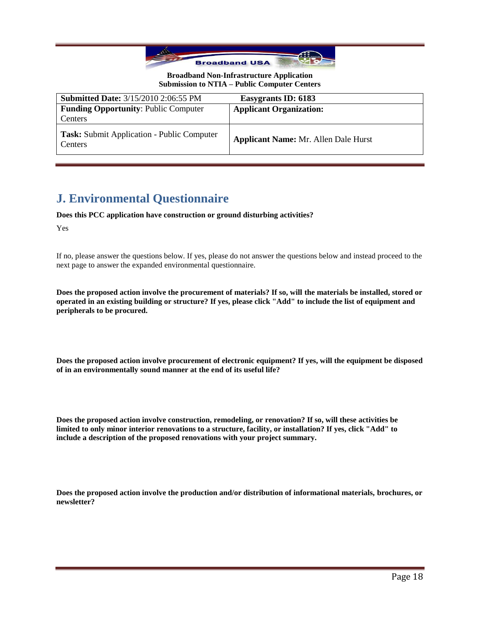

| <b>Submitted Date: 3/15/2010 2:06:55 PM</b>                         | Easygrants ID: 6183                         |
|---------------------------------------------------------------------|---------------------------------------------|
| <b>Funding Opportunity: Public Computer</b>                         | <b>Applicant Organization:</b>              |
| Centers                                                             |                                             |
| <b>Task:</b> Submit Application - Public Computer<br><b>Centers</b> | <b>Applicant Name: Mr. Allen Dale Hurst</b> |

# **J. Environmental Questionnaire**

#### **Does this PCC application have construction or ground disturbing activities?**

Yes

If no, please answer the questions below. If yes, please do not answer the questions below and instead proceed to the next page to answer the expanded environmental questionnaire.

**Does the proposed action involve the procurement of materials? If so, will the materials be installed, stored or operated in an existing building or structure? If yes, please click "Add" to include the list of equipment and peripherals to be procured.**

**Does the proposed action involve procurement of electronic equipment? If yes, will the equipment be disposed of in an environmentally sound manner at the end of its useful life?**

**Does the proposed action involve construction, remodeling, or renovation? If so, will these activities be limited to only minor interior renovations to a structure, facility, or installation? If yes, click "Add" to include a description of the proposed renovations with your project summary.**

**Does the proposed action involve the production and/or distribution of informational materials, brochures, or newsletter?**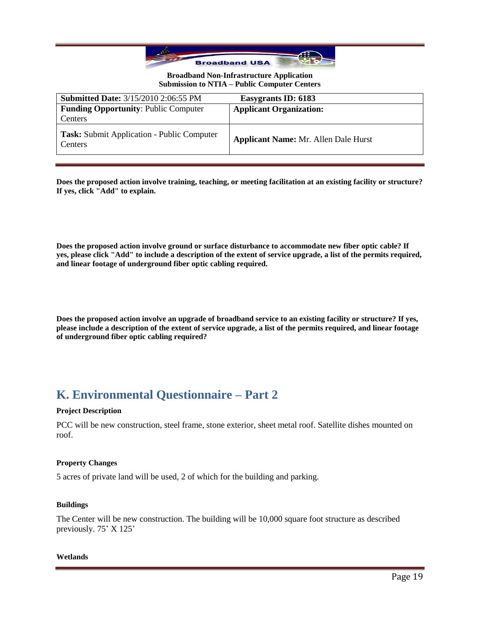

| <b>Submitted Date: 3/15/2010 2:06:55 PM</b>           | Easygrants ID: 6183                         |
|-------------------------------------------------------|---------------------------------------------|
| <b>Funding Opportunity: Public Computer</b>           | <b>Applicant Organization:</b>              |
| Centers                                               |                                             |
| Task: Submit Application - Public Computer<br>Centers | <b>Applicant Name: Mr. Allen Dale Hurst</b> |

**Does the proposed action involve training, teaching, or meeting facilitation at an existing facility or structure? If yes, click "Add" to explain.**

**Does the proposed action involve ground or surface disturbance to accommodate new fiber optic cable? If yes, please click "Add" to include a description of the extent of service upgrade, a list of the permits required, and linear footage of underground fiber optic cabling required.**

**Does the proposed action involve an upgrade of broadband service to an existing facility or structure? If yes, please include a description of the extent of service upgrade, a list of the permits required, and linear footage of underground fiber optic cabling required?**

# **K. Environmental Questionnaire – Part 2**

#### **Project Description**

PCC will be new construction, steel frame, stone exterior, sheet metal roof. Satellite dishes mounted on roof.

#### **Property Changes**

5 acres of private land will be used, 2 of which for the building and parking.

#### **Buildings**

The Center will be new construction. The building will be 10,000 square foot structure as described previously. 75' X 125'

#### **Wetlands**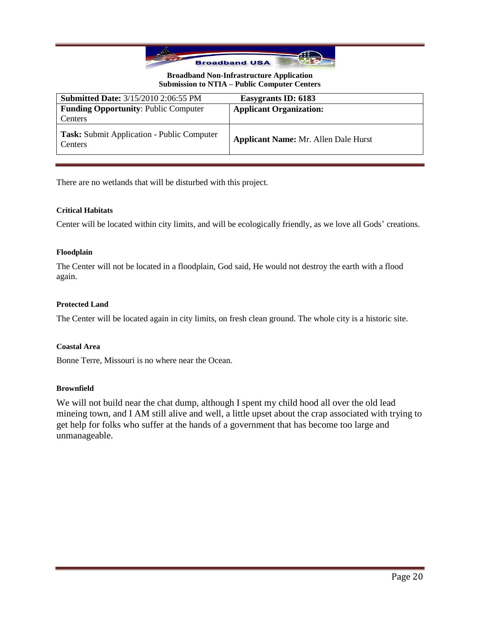

| <b>Submitted Date: 3/15/2010 2:06:55 PM</b>           | Easygrants ID: 6183                         |
|-------------------------------------------------------|---------------------------------------------|
| <b>Funding Opportunity: Public Computer</b>           | <b>Applicant Organization:</b>              |
| Centers                                               |                                             |
| Task: Submit Application - Public Computer<br>Centers | <b>Applicant Name: Mr. Allen Dale Hurst</b> |

There are no wetlands that will be disturbed with this project.

### **Critical Habitats**

Center will be located within city limits, and will be ecologically friendly, as we love all Gods' creations.

### **Floodplain**

The Center will not be located in a floodplain, God said, He would not destroy the earth with a flood again.

### **Protected Land**

The Center will be located again in city limits, on fresh clean ground. The whole city is a historic site.

### **Coastal Area**

Bonne Terre, Missouri is no where near the Ocean.

### **Brownfield**

We will not build near the chat dump, although I spent my child hood all over the old lead mineing town, and I AM still alive and well, a little upset about the crap associated with trying to get help for folks who suffer at the hands of a government that has become too large and unmanageable.